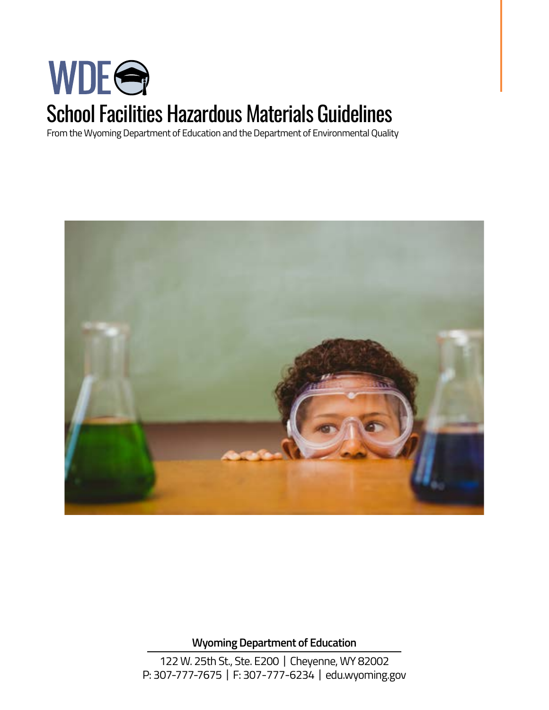# WDEG School Facilities Hazardous Materials Guidelines

From the Wyoming Department of Education and the Department of Environmental Quality



**Wyoming Department of Education** 

122 W. 25th St., Ste. E200 | Cheyenne, WY 82002 P: 307-777-7675 | F: 307-777-6234 | [edu.wyoming.gov](https://edu.wyoming.gov)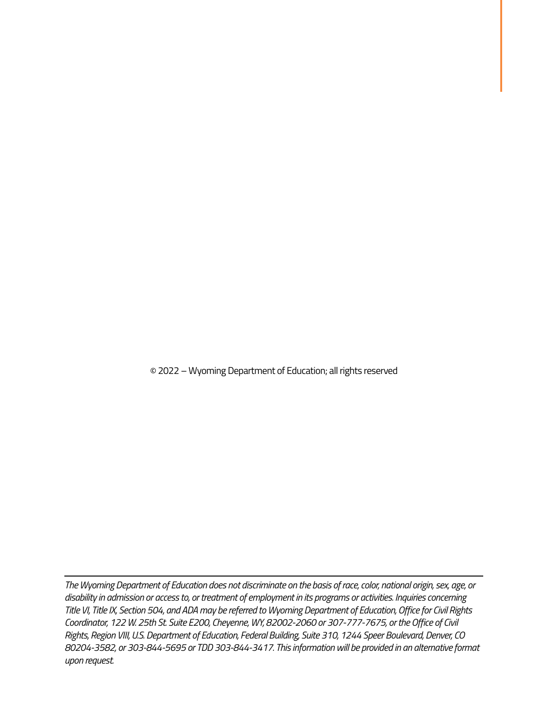© 2022 – Wyoming Department of Education; all rights reserved

*The Wyoming Department of Education does not discriminate on the basis of race, color, national origin, sex, age, or disability in admission or access to, or treatment of employment in its programs or activities. Inquiries concerning Title VI, Title IX, Section 504, and ADA may be referred to Wyoming Department of Education, Office for Civil Rights Coordinator, 122 W. 25th St. Suite E200, Cheyenne, WY, 82002-2060 or 307-777-7675, or the Office of Civil Rights, Region VIII, U.S. Department of Education, Federal Building, Suite 310, 1244 Speer Boulevard, Denver, CO 80204-3582, or 303-844-5695 or TDD 303-844-3417. This information will be provided in an alternative format upon request.*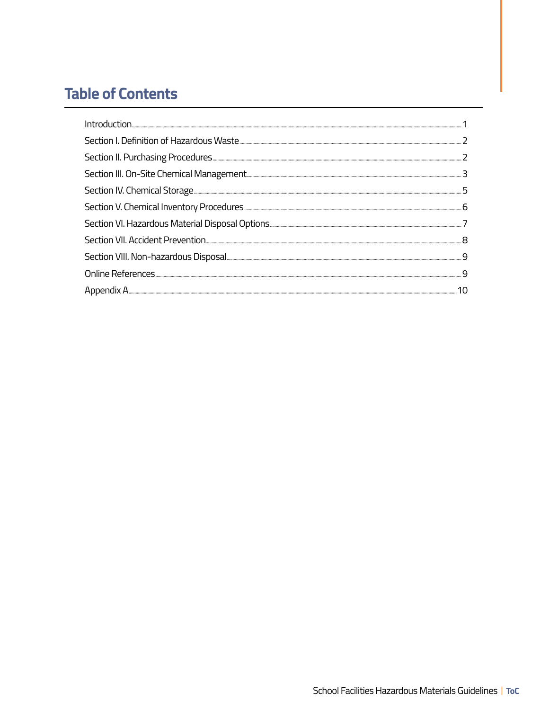## **Table of Contents**

| . 5 |
|-----|
| 6   |
|     |
|     |
|     |
| q   |
|     |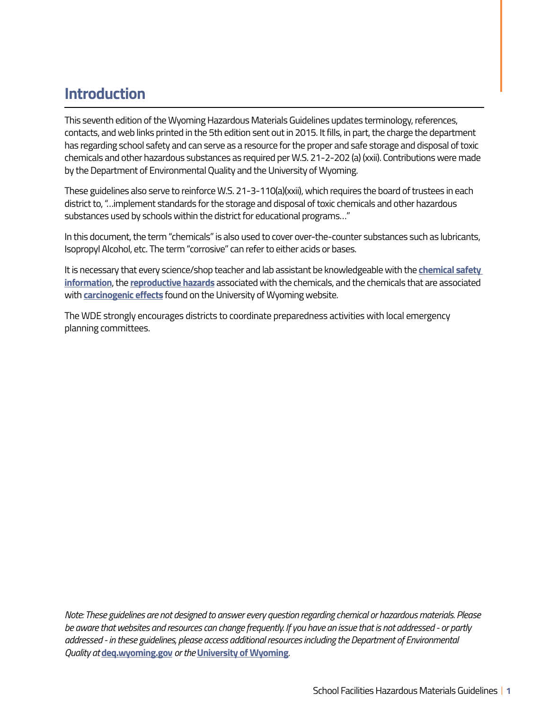### **Introduction**

This seventh edition of the Wyoming Hazardous Materials Guidelines updates terminology, references, contacts, and web links printed in the 5th edition sent out in 2015. It fills, in part, the charge the department has regarding school safety and can serve as a resource for the proper and safe storage and disposal of toxic chemicals and other hazardous substances as required per W.S. 21-2-202 (a) (xxii). Contributions were made by the Department of Environmental Quality and the University of Wyoming.

These guidelines also serve to reinforce W.S. 21-3-110(a)(xxii), which requires the board of trustees in each district to, "…implement standards for the storage and disposal of toxic chemicals and other hazardous substances used by schools within the district for educational programs…"

In this document, the term "chemicals" is also used to cover over-the-counter substances such as lubricants, Isopropyl Alcohol, etc. The term "corrosive" can refer to either acids or bases.

It is necessary that every science/shop teacher and lab assistant be knowledgeable with the **[chemical safety](http://www.uwyo.edu/safety/chemical/index.html)  [information](http://www.uwyo.edu/safety/chemical/index.html)**, the **[reproductive hazards](http://www.uwyo.edu/safety/chemical/lab-safety.html)** associated with the chemicals, and the chemicals that are associated with **[carcinogenic effects](http://www.uwyo.edu/safety/_files/Docs/Plans/select_carcinogens_8-2019.pdf)** found on the University of Wyoming website.

The WDE strongly encourages districts to coordinate preparedness activities with local emergency planning committees.

*Note: These guidelines are not designed to answer every question regarding chemical or hazardous materials. Please be aware that websites and resources can change frequently. If you have an issue that is not addressed - or partly addressed - in these guidelines, please access additional resources including the Department of Environmental Quality at* **[deq.wyoming.gov](http://deq.wyoming.gov/)** *or the* **[University of Wyoming](http://www.uwyo.edu/safety/)***.*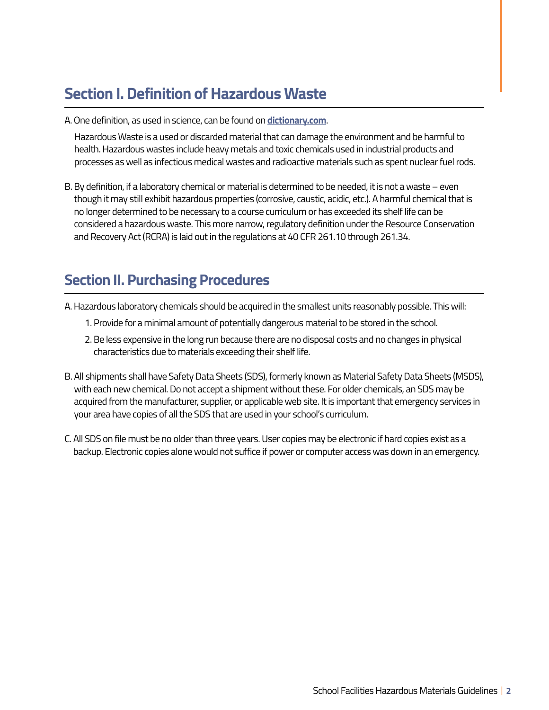### **Section I. Definition of Hazardous Waste**

A. One definition, as used in science, can be found on **[dictionary.com](https://www.dictionary.com/browse/hazardous-waste)**.

Hazardous Waste is a used or discarded material that can damage the environment and be harmful to health. Hazardous wastes include heavy metals and toxic chemicals used in industrial products and processes as well as infectious medical wastes and radioactive materials such as spent nuclear fuel rods.

B. By definition, if a laboratory chemical or material is determined to be needed, it is not a waste – even though it may still exhibit hazardous properties (corrosive, caustic, acidic, etc.). A harmful chemical that is no longer determined to be necessary to a course curriculum or has exceeded its shelf life can be considered a hazardous waste. This more narrow, regulatory definition under the Resource Conservation and Recovery Act (RCRA) is laid out in the regulations at 40 CFR 261.10 through 261.34.

#### **Section II. Purchasing Procedures**

- A. Hazardous laboratory chemicals should be acquired in the smallest units reasonably possible. This will:
	- 1. Provide for a minimal amount of potentially dangerous material to be stored in the school.
	- 2. Be less expensive in the long run because there are no disposal costs and no changes in physical characteristics due to materials exceeding their shelf life.
- B. All shipments shall have Safety Data Sheets (SDS), formerly known as Material Safety Data Sheets (MSDS), with each new chemical. Do not accept a shipment without these. For older chemicals, an SDS may be acquired from the manufacturer, supplier, or applicable web site. It is important that emergency services in your area have copies of all the SDS that are used in your school's curriculum.
- C. All SDS on file must be no older than three years. User copies may be electronic if hard copies exist as a backup. Electronic copies alone would not suffice if power or computer access was down in an emergency.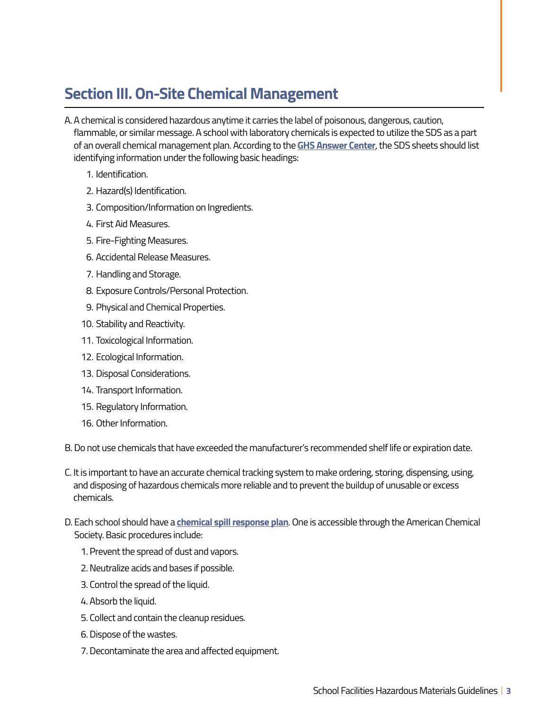#### **Section III. On-Site Chemical Management**

- A. A chemical is considered hazardous anytime it carries the label of poisonous, dangerous, caution, flammable, or similar message. A school with laboratory chemicals is expected to utilize the SDS as a part of an overall chemical management plan. According to the **[GHS Answer Center](https://www.msdsonline.com/resources/ghs-answer-center/ghs-101-safety-data-sheet-sds/)**, the SDS sheets should list identifying information under the following basic headings:
	- 1. Identification.
	- 2. Hazard(s) Identification.
	- 3. Composition/Information on Ingredients.
	- 4. First Aid Measures.
	- 5. Fire-Fighting Measures.
	- 6. Accidental Release Measures.
	- 7. Handling and Storage.
	- 8. Exposure Controls/Personal Protection.
	- 9. Physical and Chemical Properties.
	- 10. Stability and Reactivity.
	- 11. Toxicological Information.
	- 12. Ecological Information.
	- 13. Disposal Considerations.
	- 14. Transport Information.
	- 15. Regulatory Information.
	- 16. Other Information.

B. Do not use chemicals that have exceeded the manufacturer's recommended shelf life or expiration date.

- C. It is important to have an accurate chemical tracking system to make ordering, storing, dispensing, using, and disposing of hazardous chemicals more reliable and to prevent the buildup of unusable or excess chemicals.
- D. Each school should have a **[chemical spill response plan](https://search.acs.org/content/search/acs/en/search.html?q=chemical+spill+response+plan)**. One is accessible through the American Chemical Society. Basic procedures include:
	- 1. Prevent the spread of dust and vapors.
	- 2. Neutralize acids and bases if possible.
	- 3. Control the spread of the liquid.
	- 4. Absorb the liquid.
	- 5. Collect and contain the cleanup residues.
	- 6. Dispose of the wastes.
	- 7. Decontaminate the area and affected equipment.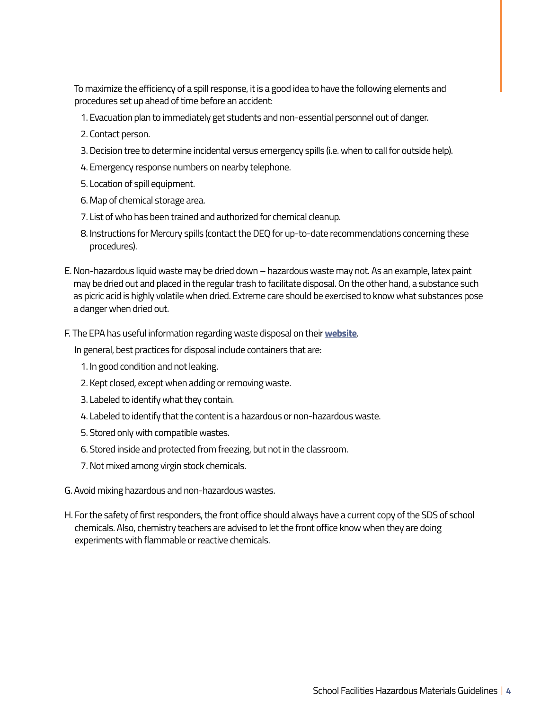To maximize the efficiency of a spill response, it is a good idea to have the following elements and procedures set up ahead of time before an accident:

- 1. Evacuation plan to immediately get students and non-essential personnel out of danger.
- 2. Contact person.
- 3. Decision tree to determine incidental versus emergency spills (i.e. when to call for outside help).
- 4. Emergency response numbers on nearby telephone.
- 5. Location of spill equipment.
- 6. Map of chemical storage area.
- 7. List of who has been trained and authorized for chemical cleanup.
- 8. Instructions for Mercury spills (contact the DEQ for up-to-date recommendations concerning these procedures).
- E. Non-hazardous liquid waste may be dried down hazardous waste may not. As an example, latex paint may be dried out and placed in the regular trash to facilitate disposal. On the other hand, a substance such as picric acid is highly volatile when dried. Extreme care should be exercised to know what substances pose a danger when dried out.
- F. The EPA has useful information regarding waste disposal on their **[website](http://website)**.

In general, best practices for disposal include containers that are:

- 1. In good condition and not leaking.
- 2. Kept closed, except when adding or removing waste.
- 3. Labeled to identify what they contain.
- 4. Labeled to identify that the content is a hazardous or non-hazardous waste.
- 5. Stored only with compatible wastes.
- 6. Stored inside and protected from freezing, but not in the classroom.
- 7. Not mixed among virgin stock chemicals.
- G. Avoid mixing hazardous and non-hazardous wastes.
- H. For the safety of first responders, the front office should always have a current copy of the SDS of school chemicals. Also, chemistry teachers are advised to let the front office know when they are doing experiments with flammable or reactive chemicals.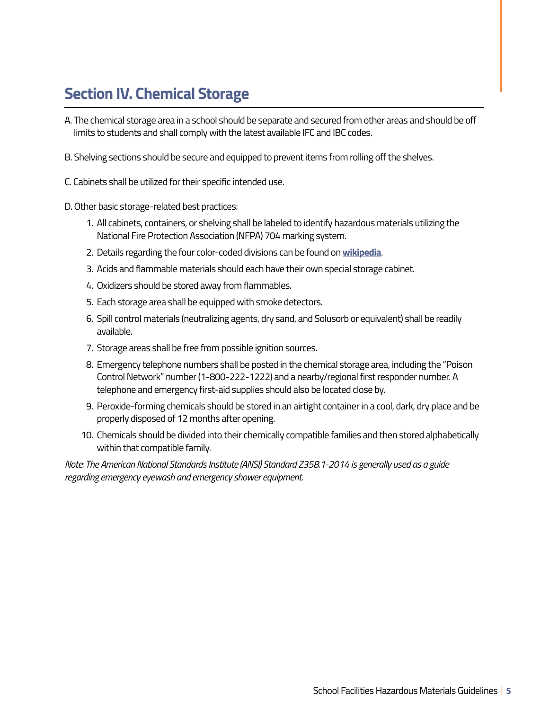## **Section IV. Chemical Storage**

- A. The chemical storage area in a school should be separate and secured from other areas and should be off limits to students and shall comply with the latest available IFC and IBC codes.
- B. Shelving sections should be secure and equipped to prevent items from rolling off the shelves.
- C. Cabinets shall be utilized for their specific intended use.
- D. Other basic storage-related best practices:
	- 1. All cabinets, containers, or shelving shall be labeled to identify hazardous materials utilizing the National Fire Protection Association (NFPA) 704 marking system.
	- 2. Details regarding the four color-coded divisions can be found on **[wikipedia](https://en.wikipedia.org/wiki/NFPA_704)**.
	- 3. Acids and flammable materials should each have their own special storage cabinet.
	- 4. Oxidizers should be stored away from flammables.
	- 5. Each storage area shall be equipped with smoke detectors.
	- 6. Spill control materials (neutralizing agents, dry sand, and Solusorb or equivalent) shall be readily available.
	- 7. Storage areas shall be free from possible ignition sources.
	- 8. Emergency telephone numbers shall be posted in the chemical storage area, including the "Poison Control Network" number (1-800-222-1222) and a nearby/regional first responder number. A telephone and emergency first-aid supplies should also be located close by.
	- 9. Peroxide-forming chemicals should be stored in an airtight container in a cool, dark, dry place and be properly disposed of 12 months after opening.
	- 10. Chemicals should be divided into their chemically compatible families and then stored alphabetically within that compatible family.

*Note: The American National Standards Institute (ANSI) Standard Z358.1-2014 is generally used as a guide regarding emergency eyewash and emergency shower equipment.*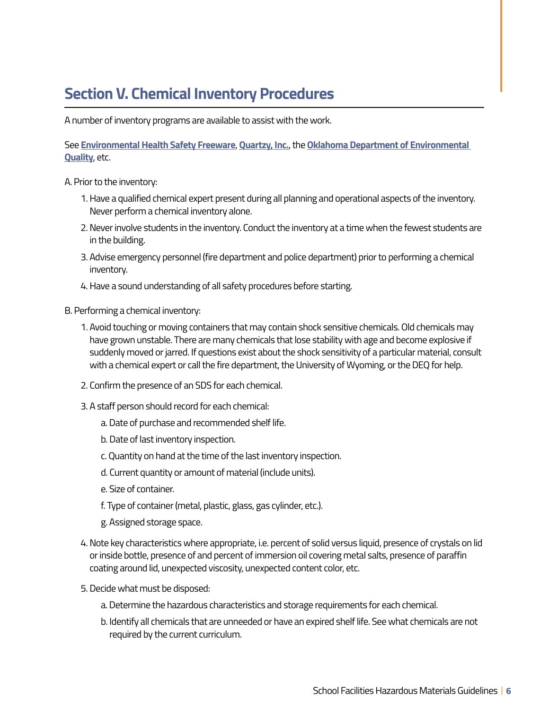## **Section V. Chemical Inventory Procedures**

A number of inventory programs are available to assist with the work.

See **[Environmental Health Safety Freeware](http://www.ehsfreeware.com/chemmgt.htm)**, **[Quartzy, Inc.](https://www.quartzy.com/)**, the **[Oklahoma Department of Environmental](https://www.deq.ok.gov/divisions/lpd/)  [Quality](https://www.deq.ok.gov/divisions/lpd/)**, etc.

- A. Prior to the inventory:
	- 1. Have a qualified chemical expert present during all planning and operational aspects of the inventory. Never perform a chemical inventory alone.
	- 2. Never involve students in the inventory. Conduct the inventory at a time when the fewest students are in the building.
	- 3. Advise emergency personnel (fire department and police department) prior to performing a chemical inventory.
	- 4. Have a sound understanding of all safety procedures before starting.
- B. Performing a chemical inventory:
	- 1. Avoid touching or moving containers that may contain shock sensitive chemicals. Old chemicals may have grown unstable. There are many chemicals that lose stability with age and become explosive if suddenly moved or jarred. If questions exist about the shock sensitivity of a particular material, consult with a chemical expert or call the fire department, the University of Wyoming, or the DEQ for help.
	- 2. Confirm the presence of an SDS for each chemical.
	- 3. A staff person should record for each chemical:
		- a. Date of purchase and recommended shelf life.
		- b. Date of last inventory inspection.
		- c. Quantity on hand at the time of the last inventory inspection.
		- d. Current quantity or amount of material (include units).
		- e. Size of container.
		- f. Type of container (metal, plastic, glass, gas cylinder, etc.).
		- g. Assigned storage space.
	- 4. Note key characteristics where appropriate, i.e. percent of solid versus liquid, presence of crystals on lid or inside bottle, presence of and percent of immersion oil covering metal salts, presence of paraffin coating around lid, unexpected viscosity, unexpected content color, etc.
	- 5. Decide what must be disposed:
		- a. Determine the hazardous characteristics and storage requirements for each chemical.
		- b. Identify all chemicals that are unneeded or have an expired shelf life. See what chemicals are not required by the current curriculum.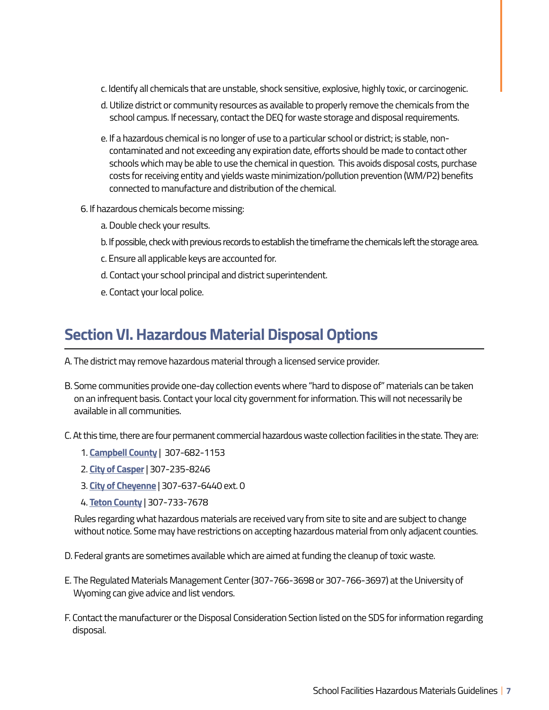- c. Identify all chemicals that are unstable, shock sensitive, explosive, highly toxic, or carcinogenic.
- d. Utilize district or community resources as available to properly remove the chemicals from the school campus. If necessary, contact the DEQ for waste storage and disposal requirements.
- e. If a hazardous chemical is no longer of use to a particular school or district; is stable, noncontaminated and not exceeding any expiration date, efforts should be made to contact other schools which may be able to use the chemical in question. This avoids disposal costs, purchase costs for receiving entity and yields waste minimization/pollution prevention (WM/P2) benefits connected to manufacture and distribution of the chemical.
- 6. If hazardous chemicals become missing:
	- a. Double check your results.
	- b. If possible, check with previous records to establish the timeframe the chemicals left the storage area.
	- c. Ensure all applicable keys are accounted for.
	- d. Contact your school principal and district superintendent.
	- e. Contact your local police.

#### **Section VI. Hazardous Material Disposal Options**

- A. The district may remove hazardous material through a licensed service provider.
- B. Some communities provide one-day collection events where "hard to dispose of" materials can be taken on an infrequent basis. Contact your local city government for information. This will not necessarily be available in all communities.
- C. At this time, there are four permanent commercial hazardous waste collection facilities in the state. They are:
	- 1. **[Campbell County](https://www.ccgov.net/294/Landfill)** | 307-682-1153
	- 2. **[City of Casper](https://www.casperwy.gov/government/departments/public_services/solid_waste_division)** | 307-235-8246
	- 3. **[City of Cheyenne](https://www.cheyennecity.org/Your-Government/Departments/Public-Works/Sanitation-Division-Transfer-Station)** | 307-637-6440 ext. 0
	- 4. **[Teton County](http://www.tetonwyo.org/298/Integrated-Solid-Waste-Recycling)** | 307-733-7678

Rules regarding what hazardous materials are received vary from site to site and are subject to change without notice. Some may have restrictions on accepting hazardous material from only adjacent counties.

- D. Federal grants are sometimes available which are aimed at funding the cleanup of toxic waste.
- E. The Regulated Materials Management Center (307-766-3698 or 307-766-3697) at the University of Wyoming can give advice and list vendors.
- F. Contact the manufacturer or the Disposal Consideration Section listed on the SDS for information regarding disposal.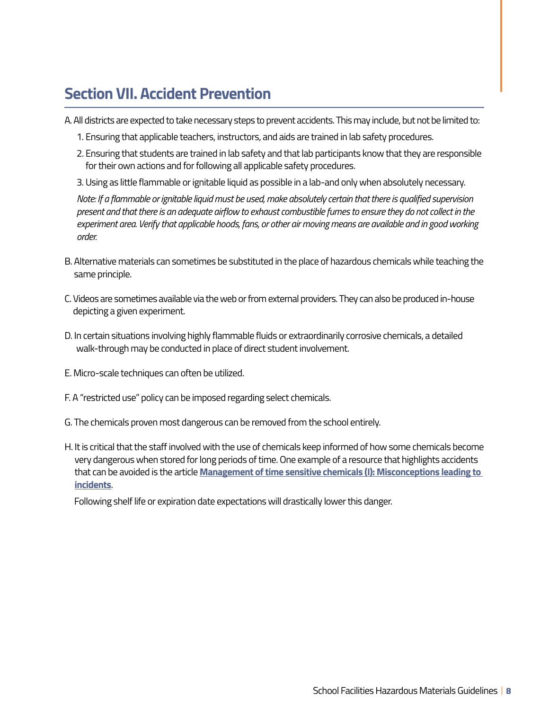#### **Section VII. Accident Prevention**

A. All districts are expected to take necessary steps to prevent accidents. This may include, but not be limited to:

- 1. Ensuring that applicable teachers, instructors, and aids are trained in lab safety procedures.
- 2. Ensuring that students are trained in lab safety and that lab participants know that they are responsible for their own actions and for following all applicable safety procedures.
- 3. Using as little flammable or ignitable liquid as possible in a lab-and only when absolutely necessary.

*Note: If a flammable or ignitable liquid must be used, make absolutely certain that there is qualified supervision present and that there is an adequate airflow to exhaust combustible fumes to ensure they do not collect in the experiment area. Verify that applicable hoods, fans, or other air moving means are available and in good working order.* 

- B. Alternative materials can sometimes be substituted in the place of hazardous chemicals while teaching the same principle.
- C. Videos are sometimes available via the web or from external providers. They can also be produced in-house depicting a given experiment.
- D. In certain situations involving highly flammable fluids or extraordinarily corrosive chemicals, a detailed walk-through may be conducted in place of direct student involvement.
- E. Micro-scale techniques can often be utilized.
- F. A "restricted use" policy can be imposed regarding select chemicals.
- G. The chemicals proven most dangerous can be removed from the school entirely.
- H. It is critical that the staff involved with the use of chemicals keep informed of how some chemicals become very dangerous when stored for long periods of time. One example of a resource that highlights accidents that can be avoided is the article **[Management of time sensitive chemicals \(I\): Misconceptions leading to](https://www.marshall.edu/safety/files/2013/03/Management-of-Time-Sensitive-Chemicals.doc)  [incidents](https://www.marshall.edu/safety/files/2013/03/Management-of-Time-Sensitive-Chemicals.doc)**.

Following shelf life or expiration date expectations will drastically lower this danger.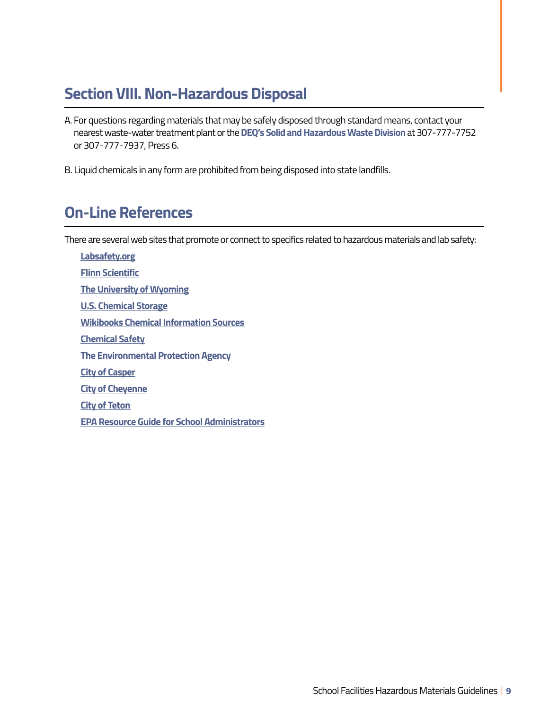#### **Section VIII. Non-Hazardous Disposal**

- A. For questions regarding materials that may be safely disposed through standard means, contact your nearest waste-water treatment plant or the **[DEQ's Solid and Hazardous Waste Division](http://deq.wyoming.gov/shwd/solid-waste/)** at 307-777-7752 or 307-777-7937, Press 6.
- B. Liquid chemicals in any form are prohibited from being disposed into state landfills.

#### **On-Line References**

There are several web sites that promote or connect to specifics related to hazardous materials and lab safety:

**[Labsafety.org](https://www.labsafety.org/)  [Flinn Scientific](https://www.flinnsci.com/)  [The University of Wyoming](http://www.uwyo.edu/safety/)  [U.S. Chemical Storage](https://www.uschemicalstorage.com/faqs/#faq303)  [Wikibooks Chemical Information Sources](https://en.wikibooks.org/wiki/Chemical_Information_Sources/Chemical_Safety_Searches)  [Chemical Safety](https://chemicalsafety.com/)  [The Environmental Protection Agency](https://www.epa.gov/pesticides)  [City of Casper](https://www.casperwy.gov/)  [City of Cheyenne](https://www.cheyennecity.org/Home)  [City of Teton](http://www.tetonwyo.org/298/Integrated-Solid-Waste-Recycling)  [EPA Resource Guide for School Administrators](https://www.epa.gov/schools/chemical-management-resource-guide-school-administrators)**